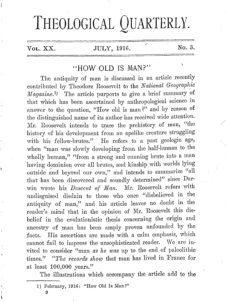# THEOLOGICAL QUARTERLY.

### Vol. XX.  $JULY$ , 1916.  $N_0$ . 3.

# "HOW OLD IS MAN?"

The antiquity of man is discussed in an article recently contributed by Theodore Roosevelt to the *National Geographic Magazine.<sup>1</sup>* The article purports to give a brief summary of that which has been ascertained by anthropological science in answer to the question, "How old is man?" and by reason of the distinguished name of its author has received wide attention. Mr. Roosevelt intends to trace the prehistory of man, "the history of his development from an apelike creature struggling with his fellow-brutes." He refers to a past geologic age, when "man was slowly developing from the half-human to the wholly human," "from a strong and cunning brute into a man having dominion over all brutes, and kinship with worlds lying outside and beyond our own," and intends to summarize "all that has been discovered and soundly determined" since Darwin wrote his *Descent of Man*. Mr. Roosevelt refers with nndisguisecl disdain to those who once "disbelieved in the antiquity of man," and his article leaves no doubt in the reader's mind that in the opinion of Mr. Roosevelt this disbelief in the evolutionistic thesis concerning the origin and ancestry of man has been amply proven unfounded by the facts. His assertions are made with a calm emphasis, which cannot fail to impress the unsophisticated reader. We are invited to consider "man *as he was* up to the end of paleolithic times." *"The records show that man has lived in France for* at least 100,000 years."

The illustrations which accompany the article add to the

9

I) February, 10IG: "How Old Is Man?"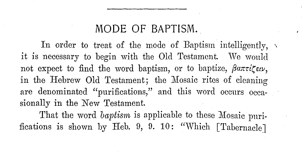## **MODE OF BAPTISM.**

In order to treat of the mode of Baptism intelligently,  $\sqrt{ }$ it is necessary to begin with the Old Testament. We wonld not expect to find the word baptism, or to baptize,  $\beta$ anti $\zeta$ *ew*, in the Hebrew Old Testament; the Mosaic rites of cleaning are denominated "purifications," and this word occurs occasionally in the New Testament.

That the word *baptism* is applicable to these Mosaic purifications is shown by Heb. 9, 9. 10: "Which [Tabernacle]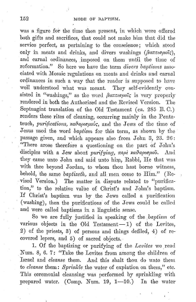was a figure for the time then present, in which were offered both gifts and sacrifices, that could not make him that did the service perfect, as pertaining to the conscience; which stood only in meats and drinks, and divers washings  $(\beta a \pi \tau \alpha \mu o \tilde{\iota} \zeta)$ , and carnal ordinances, imposed on them until the time of reformation." So here we have the term *divers baptisms* associated with Mosaic regulations on meats and drinks and carnal ordinances in such a way that the reader is supposed to have well understood what was meant. They self-evidently consisted in "washings," as the word  $\beta a \pi \tau \alpha \mu \alpha \zeta$  is very properly rendered in both the Authorized and the Revised Version. The Septuagint translation of the Old Testament (ca. 285 B.C.) renders these rites of cleaning, occurring mainly in the Pentateuch, *purifications, xadaptopous*, and the Jews of the time of Jesus used the word *bapl'isrn* for this term, as shown by the passage given, and which appears also from John 3, 23. 26: "There arose therefore a questioning on the part of John's disciples with a Jew about *purifying*,  $\pi \epsilon \rho \lambda$  xa $\theta$ apia $\mu$ ov. And they came unto John and said unto him, Rabbi, He that was with thee beyond Jordan, to whom thou hast borne witness, hehold, the same *baptizeth,* and all men come to Him." (Revised Version.) The matter in dispute related to "purification," to the relative value of Christ's and John's baptism. If Christ's baptism was hy the Jews called a purification (washing), then the purifications of the Jews could be called and were called baptisms in a linguistic sense.

So we are fully justified in speaking of the . *baptism* of various objects in the Old Testament $-1$ ) of the Levites, 2) of the priests, 3) of persons and things defiled, 4) of recovered lepers, and 5) of sacred objects.

1. Of the baptizing or purifying of the *Levites* we read Num. 8, 6. 7: "Take the Levites from among the children of Israel and *cleanse* them. And this shalt thou do unto them to *cleanse* them: *Sprinkle* the water of expiation on them," etc. This ceremonial cleansing was performed by sprinkling with prepared water. (Comp. Num. 19, 1--10.) In the water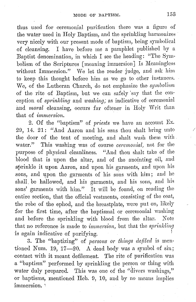thus used for ceremonial purification there was a figure of the water used in Holy Baptism, and the sprinkling harmonizes very nicely with our present mode of baptism, being symbolical of cleansing. I have before me a pamphlet published by a Baptist denomination, in which I see the heading: "The Symbolism of the Scriptures [meaning immersion] Is Meaningless without Immersion." We let the reader judge, and ask him to keep this thought before him as we go to other instances. We, of the Lutheran Church, do not emphasize the *symbolism* of the rite of Baptism, hut we can safely 'say that the conception of *sprinkling* and *washing;* as indicative of ceremonial and *moral* cleansing, occurs far oftener in Holy Writ than that of *immersion*.

2. Of the "baptism" of *priests* we have an account Ex. 29, 14. 21: "And Aaron and his sons thou shalt bring unto */*  the door of the tent of meeting, and shalt wash them with water." This washing was of course *ceremonial*, not for the purpose of physical cleanliness. "And thou shalt take of the blood that is upon the altar, and of the anointing oil, and sprinkle it upon Aaron, and upon his garments, and upon his sons, and upon the garments of his sons with him; and he shall. be hallowed, and his garments, and his sons, and his sons' garments with him." It will be found, on reading the entire section, that the official vestments, consisting of the coat, the robe of the ephod, and the breastplate, were pnt on, likely for the first time, after the baptismal or ceremonial washing and before tho sprinkling with blood from the altar. Note that no reference is made to *immersion*, but that the *sprinkling* is again indicative of purifying.

3. The "baptizing" of *persons or things defiled* is mentioned Num.  $19, 17-20$ . A dead body was a symbol of sin; contact with it meant defilement. The rite of purification was a "baptism" performed by sprinkling the person or thing with water duly prepared. This was one of the "divers washings," or baptisms, mentioned Heb. 9, 10, and by no means implies immersion.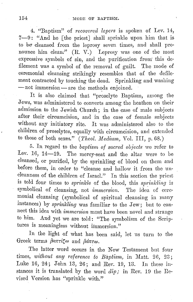4. "Baptism" of *recovered lepers* is spoken of Lev. 14, 7-9: "And he [the priest] shall sprinkle upon him that is to be cleansed from the leprosy seven times, and shall pronounce him clean." (R. V.) Leprosy was one of the most expressive symbols of sin, and the purification from this defilement was a symbol of the removal of guilt. The mode of ceremonial cleansing strikingly resembles that of the defilement contracted by touching the dead. Sprinkling and washing  $-$  not immersion  $-$  are the methods enjoined.

It is also claimed that "proselyte Baptism, among the Jews, was administered to converts among the heathen on their admission to the Jewish Church; in the case of male subjects after their circumcision, and in the case of female subjects without any initiatory rite. It was administered also to the children of proselytes, equally with circumcision, and extended to those of both sexes." (*Theol. Medium*, Vol. III, p. 68.)

5. In regard to the *baptism, of sacred objects* we refer to Lev. 16,  $14-19$ . The mercy-seat and the altar were to be cleansed, or purified, by the sprinkling of blood on them and before them, in order to "cleanse and hallow it from the uncleanness of the children of Israel." In this section the priest is told four times to *sprinlcle* of the blood, this *sprinlding* is symbolical of cleansing, not *immersion*. The idea of ceremonial cleansing (symbolical of spiritual cleansing in many instances) by *sprinlcling* was familiar to the Jew; but to connect this idea with *immersion* must have been novel and strange to him. And yet we are told: "The symbolism of the Scriptures is meaningless without immersion."

In the light of what has been said, let us turn to the Greek terms *flantice* and *flante.* 

The latter word occurs in the New Testament but four times, *without any reference to Baptism,* in Matt. 26, 23; Luke 16, 24; John 13, 26; and Rev. 19, 13. In these instances it is translated by the word  $dip$ ; in Rev. 19 the Revised Version has "sprinkle with."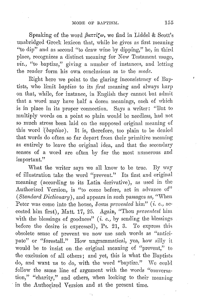Speaking of the word  $\beta a\pi r\alpha$ , we find in Liddel & Scott's unabridged Greek lexicon that, while he gives as first meaning "to dip" and as second "to draw wine by dipping," he, in third place, recognizes a distinct meaning for New Testament usage, *viz.,* "to baptize," giving a number of instances, and letting the reader form his own conclusions as to the mode.

Right here we point to the glaring inconsistency of Baptists, who limit *baptizo* to its *first* meaning and always harp on that, while, for instance, in English they cannot hut admit that a word may have half a dozen meanings, each of which is in place in its proper connection. Says a writer: "But to multiply words on a point so plain would be needless, had not so much stress been laid on the supposed original meaning of this word (*baptizo*). It is, therefore, too plain to be denied that words do often so far depart from their primitive meaning as entirely to leave the original idea, and that the secondary senses of a word are often by far the most numerous and important."

What the writer says we all know to be true. By way of illustration take the word "prevent." Its first and original meaning (according to its Latin derivative), as used in the Authorized Version, is "to come before, act in advance of" *(Standard Dictionary),* and appears in such passages as, "When Peter was come into the house, Jesus *prevented* him" (*i. e., ac*costed him first), Matt. 17, 25. Again, "Thou *preventest* him with the blessings of goodness"  $(i. e., by sending the blessness$ before the desire is expressed), Ps. 21, 3. To express this obsolete sense of prevent we now use such words as "anticipate" or "forestall." How ungrammatical, yea, how silly it would he to insist on .the original meaning of "prevent," to the exclusion of all others; and yet, this is what the Baptists do, and want us to do, with the word "baptize." We could follow the same line of argument with the words "conversation," "charity," and others, when looking to their meaning in the Authorized Version and at the present time.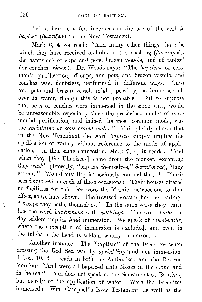Let us look to a few instances of the use of the verb to *baptize (βαπτίζειν)* in the New Testament.

Mark 6, 4 we read: "And many other things there be which they have received to hold, as the washing  $(\beta a \pi \tau \alpha \mu \omega_2)$ , the baptisms) of cups and pots, brazen vessels, and of tables" (or couches, xlww<sub>)</sub>. Dr. Woods says: "The *baptism*, or ceremonial purification, of cups, and pots, and brazen vessels, and couches was, doubtless, performed in different ways. Cups and pots and brazen vessels might, possibly, be immersed all over in water, though this is not probable. But to suppose that beds or couches were immersed in the same way, would be unreasonable, especially since the prescribed modes of cere- 'monial purification, and indeed the most common mode, was the *sprinlcling of consecrated water."* This plainly shows that in the New Testament the word *baptizo* simply implies the application of water, without reference to the mode of application. In that same connection, Mark 7, 4, it reads: "And when they [the Pharisees] come from the market, excepting they *wash*" (literally, "baptize themselves," βαπτίζονται), "they eat not." Would any Baptist seriously contend that the Pharisees *immersed* on each of these occasions? Their houses offered no facilities for this, nor were the Mosaic instructions to that effect, as we have shown. The Revised Version has the reading: "Except they bathe themselves." In the same verse they translate the word *baptismous* with *washings.* Tho word *bathe* today seldom implies *total* immersion: We speak of *towel-baths,*  where the conception of immersion is excluded, and even in the tub-bath the head is seldom wholly immersed.

Another instance. The "baptism" of the Israelites when crossing the Red Sea was by *sprinkling* and not immersion. 1 Cor. 10, 2 it reads in both the Authorized and the Revised Version: "And were all baptized unto Moses in the cloud and in the sea." Paul does not speak of the Sacrament of Baptism, but merely of the application of water. Were the Israelites  $\text{immerset ?} \quad \text{Wm. } \text{ Campbell's } \text{ New Testament, as } \text{well as the}$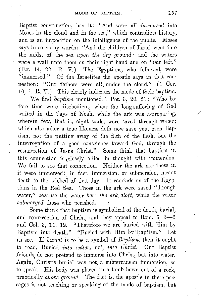Baptist construction, has it: "And were all *immersed* into Moses in the cloud and in the sea," which contradicts history, and is an imposition on the intelligence of the public. Moses says in so many words: "And the children of Israel went into the midst of the sea *upon the dry ground;* and the waters were a wall unto them on their right hand and on their left." (Ex. 14, 22. R. V.) The Egyptians, who followed, were "immersed." Of the Israelites the apostle says in that connection: **"Our** fathers were all, under the cloud." (1 Cor. 10, 1. **R.** V.) This clearly indicates the mode of their baptism.

We find *baptism* mentioned 1 Pet. 3, 20. 21: "Who before time were disobedient, when the long-suffering of God waited in the days of Noah, while the ark was a-preparing, wherein few, that is, eight souls, were saved through water; which also after a true likeness doth now save you, even Baptism, not the putting away of the filth of the flesh, but the interrogation of a good conscience toward God, through the resurrection of Jesus Christ." Some think that baptism in this connection is  $_{\epsilon}$  closely allied in thought with immersion. We fail to see that connection. Neither the ark nor those in it were immersed; in fact, immersion, or submersion, mennt death to the wicked of that day. It reminds us of the Egyptians in the Red Sea. Those in the ark were saved "through water," because the water *bore the ark aloft*, while the water *submerged* those who perished.

Some think that baptism is symbolical of the death, burial, and resurrection of Christ, and they appeal to Rom. 6, 3-6 and Col. 3, 11. 12. "Therefore we are buried with Him by Baptism into death." "Buried with Him by <sup>1</sup> Baptism." Let ns see. If *burilil* is to be a symbol of *Baptism,* then it ought to read, Buried *into wdter,* not, *into Christ.* Our Baptist friends, do not pretend to immerse into Christ, but into water. Again, Christ's burial was not, a subterranean immersion, so to speak. His body was placed in a tomb. hewn out of a rock, practically *above ground*. The fact is, the apostle in these passages is not teaching or speaking of the mode of baptism, but